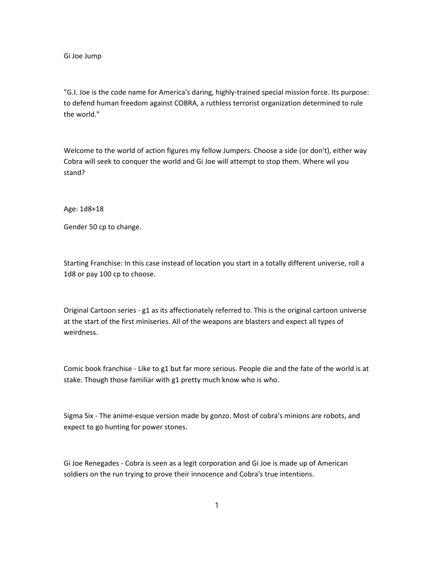Gi Joe Jump

"G.I. Joe is the code name for America's daring, highly-trained special mission force. Its purpose: to defend human freedom against COBRA, a ruthless terrorist organization determined to rule the world."

Welcome to the world of action figures my fellow Jumpers. Choose a side (or don't), either way Cobra will seek to conquer the world and Gi Joe will attempt to stop them. Where wil you stand?

Age: 1d8+18

Gender 50 cp to change.

Starting Franchise: In this case instead of location you start in a totally different universe, roll a 1d8 or pay 100 cp to choose.

Original Cartoon series - g1 as its affectionately referred to. This is the original cartoon universe at the start of the first miniseries. All of the weapons are blasters and expect all types of weirdness.

Comic book franchise - Like to g1 but far more serious. People die and the fate of the world is at stake. Though those familiar with g1 pretty much know who is who.

Sigma Six - The anime-esque version made by gonzo. Most of cobra's minions are robots, and expect to go hunting for power stones.

Gi Joe Renegades - Cobra is seen as a legit corporation and Gi Joe is made up of American soldiers on the run trying to prove their innocence and Cobra's true intentions.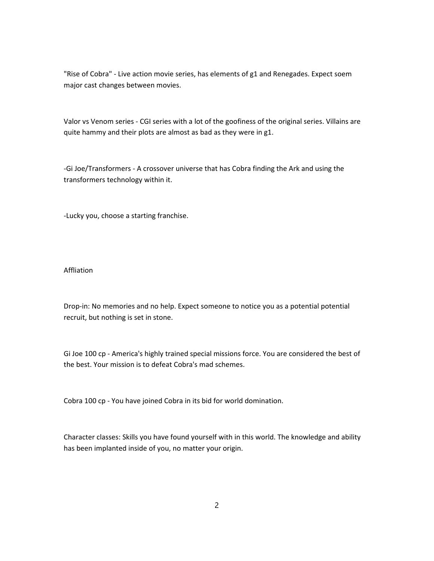"Rise of Cobra" - Live action movie series, has elements of g1 and Renegades. Expect soem major cast changes between movies.

Valor vs Venom series - CGI series with a lot of the goofiness of the original series. Villains are quite hammy and their plots are almost as bad as they were in g1.

-Gi Joe/Transformers - A crossover universe that has Cobra finding the Ark and using the transformers technology within it.

-Lucky you, choose a starting franchise.

# Affliation

Drop-in: No memories and no help. Expect someone to notice you as a potential potential recruit, but nothing is set in stone.

Gi Joe 100 cp - America's highly trained special missions force. You are considered the best of the best. Your mission is to defeat Cobra's mad schemes.

Cobra 100 cp - You have joined Cobra in its bid for world domination.

Character classes: Skills you have found yourself with in this world. The knowledge and ability has been implanted inside of you, no matter your origin.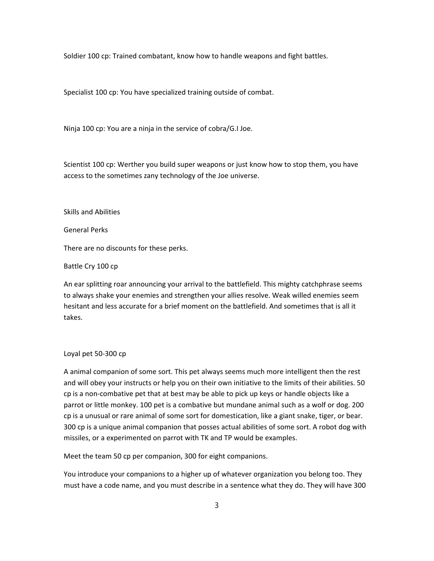Soldier 100 cp: Trained combatant, know how to handle weapons and fight battles.

Specialist 100 cp: You have specialized training outside of combat.

Ninja 100 cp: You are a ninja in the service of cobra/G.I Joe.

Scientist 100 cp: Werther you build super weapons or just know how to stop them, you have access to the sometimes zany technology of the Joe universe.

Skills and Abilities

General Perks

There are no discounts for these perks.

Battle Cry 100 cp

An ear splitting roar announcing your arrival to the battlefield. This mighty catchphrase seems to always shake your enemies and strengthen your allies resolve. Weak willed enemies seem hesitant and less accurate for a brief moment on the battlefield. And sometimes that is all it takes.

#### Loyal pet 50-300 cp

A animal companion of some sort. This pet always seems much more intelligent then the rest and will obey your instructs or help you on their own initiative to the limits of their abilities. 50 cp is a non-combative pet that at best may be able to pick up keys or handle objects like a parrot or little monkey. 100 pet is a combative but mundane animal such as a wolf or dog. 200 cp is a unusual or rare animal of some sort for domestication, like a giant snake, tiger, or bear. 300 cp is a unique animal companion that posses actual abilities of some sort. A robot dog with missiles, or a experimented on parrot with TK and TP would be examples.

Meet the team 50 cp per companion, 300 for eight companions.

You introduce your companions to a higher up of whatever organization you belong too. They must have a code name, and you must describe in a sentence what they do. They will have 300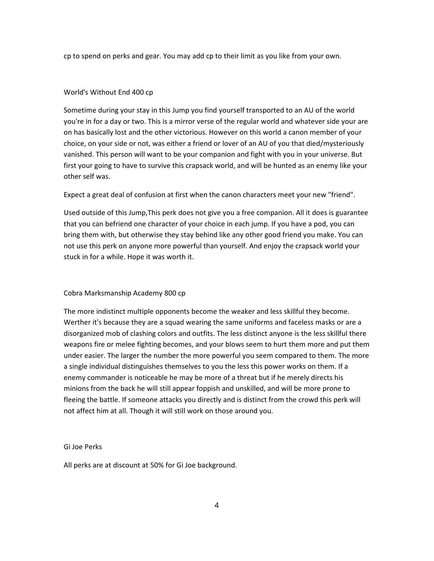cp to spend on perks and gear. You may add cp to their limit as you like from your own.

# World's Without End 400 cp

Sometime during your stay in this Jump you find yourself transported to an AU of the world you're in for a day or two. This is a mirror verse of the regular world and whatever side your are on has basically lost and the other victorious. However on this world a canon member of your choice, on your side or not, was either a friend or lover of an AU of you that died/mysteriously vanished. This person will want to be your companion and fight with you in your universe. But first your going to have to survive this crapsack world, and will be hunted as an enemy like your other self was.

Expect a great deal of confusion at first when the canon characters meet your new "friend".

Used outside of this Jump,This perk does not give you a free companion. All it does is guarantee that you can befriend one character of your choice in each jump. If you have a pod, you can bring them with, but otherwise they stay behind like any other good friend you make. You can not use this perk on anyone more powerful than yourself. And enjoy the crapsack world your stuck in for a while. Hope it was worth it.

## Cobra Marksmanship Academy 800 cp

The more indistinct multiple opponents become the weaker and less skillful they become. Werther it's because they are a squad wearing the same uniforms and faceless masks or are a disorganized mob of clashing colors and outfits. The less distinct anyone is the less skillful there weapons fire or melee fighting becomes, and your blows seem to hurt them more and put them under easier. The larger the number the more powerful you seem compared to them. The more a single individual distinguishes themselves to you the less this power works on them. If a enemy commander is noticeable he may be more of a threat but if he merely directs his minions from the back he will still appear foppish and unskilled, and will be more prone to fleeing the battle. If someone attacks you directly and is distinct from the crowd this perk will not affect him at all. Though it will still work on those around you.

## Gi Joe Perks

All perks are at discount at 50% for Gi Joe background.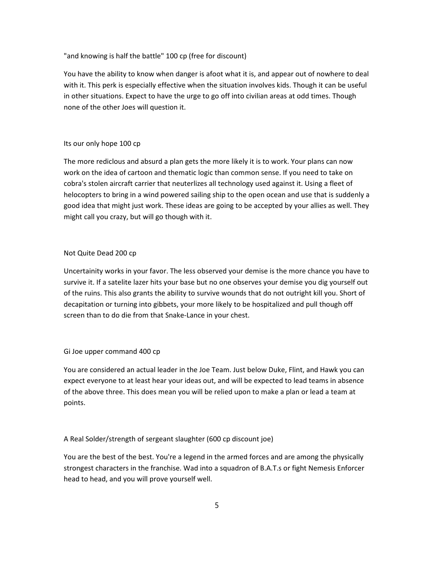"and knowing is half the battle" 100 cp (free for discount)

You have the ability to know when danger is afoot what it is, and appear out of nowhere to deal with it. This perk is especially effective when the situation involves kids. Though it can be useful in other situations. Expect to have the urge to go off into civilian areas at odd times. Though none of the other Joes will question it.

# Its our only hope 100 cp

The more rediclous and absurd a plan gets the more likely it is to work. Your plans can now work on the idea of cartoon and thematic logic than common sense. If you need to take on cobra's stolen aircraft carrier that neuterlizes all technology used against it. Using a fleet of helocopters to bring in a wind powered sailing ship to the open ocean and use that is suddenly a good idea that might just work. These ideas are going to be accepted by your allies as well. They might call you crazy, but will go though with it.

# Not Quite Dead 200 cp

Uncertainity works in your favor. The less observed your demise is the more chance you have to survive it. If a satelite lazer hits your base but no one observes your demise you dig yourself out of the ruins. This also grants the ability to survive wounds that do not outright kill you. Short of decapitation or turning into gibbets, your more likely to be hospitalized and pull though off screen than to do die from that Snake-Lance in your chest.

## Gi Joe upper command 400 cp

You are considered an actual leader in the Joe Team. Just below Duke, Flint, and Hawk you can expect everyone to at least hear your ideas out, and will be expected to lead teams in absence of the above three. This does mean you will be relied upon to make a plan or lead a team at points.

# A Real Solder/strength of sergeant slaughter (600 cp discount joe)

You are the best of the best. You're a legend in the armed forces and are among the physically strongest characters in the franchise. Wad into a squadron of B.A.T.s or fight Nemesis Enforcer head to head, and you will prove yourself well.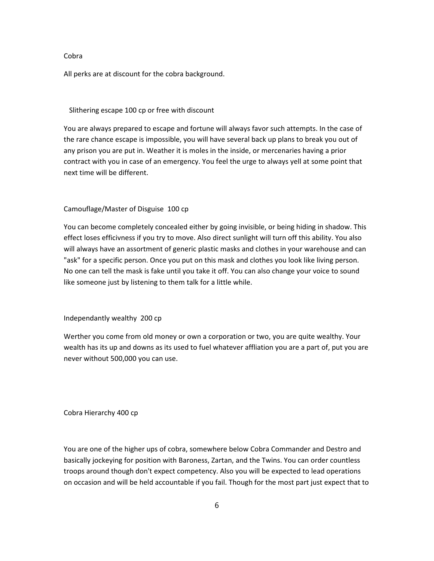# Cobra

All perks are at discount for the cobra background.

# Slithering escape 100 cp or free with discount

You are always prepared to escape and fortune will always favor such attempts. In the case of the rare chance escape is impossible, you will have several back up plans to break you out of any prison you are put in. Weather it is moles in the inside, or mercenaries having a prior contract with you in case of an emergency. You feel the urge to always yell at some point that next time will be different.

#### Camouflage/Master of Disguise 100 cp

You can become completely concealed either by going invisible, or being hiding in shadow. This effect loses efficivness if you try to move. Also direct sunlight will turn off this ability. You also will always have an assortment of generic plastic masks and clothes in your warehouse and can "ask" for a specific person. Once you put on this mask and clothes you look like living person. No one can tell the mask is fake until you take it off. You can also change your voice to sound like someone just by listening to them talk for a little while.

## Independantly wealthy 200 cp

Werther you come from old money or own a corporation or two, you are quite wealthy. Your wealth has its up and downs as its used to fuel whatever affliation you are a part of, put you are never without 500,000 you can use.

Cobra Hierarchy 400 cp

You are one of the higher ups of cobra, somewhere below Cobra Commander and Destro and basically jockeying for position with Baroness, Zartan, and the Twins. You can order countless troops around though don't expect competency. Also you will be expected to lead operations on occasion and will be held accountable if you fail. Though for the most part just expect that to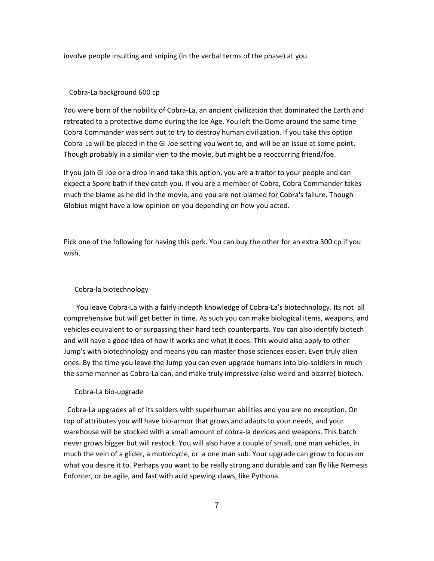involve people insulting and sniping (in the verbal terms of the phase) at you.

### Cobra-La background 600 cp

You were born of the nobility of Cobra-La, an ancient civilization that dominated the Earth and retreated to a protective dome during the Ice Age. You left the Dome around the same time Cobra Commander was sent out to try to destroy human civilization. If you take this option Cobra-La will be placed in the Gi Joe setting you went to, and will be an issue at some point. Though probably in a similar vien to the movie, but might be a reoccurring friend/foe.

If you join Gi Joe or a drop in and take this option, you are a traitor to your people and can expect a Spore bath if they catch you. If you are a member of Cobra, Cobra Commander takes much the blame as he did in the movie, and you are not blamed for Cobra's failure. Though Globius might have a low opinion on you depending on how you acted.

Pick one of the following for having this perk. You can buy the other for an extra 300 cp if you wish.

#### Cobra-la biotechnology

 You leave Cobra-La with a fairly indepth knowledge of Cobra-La's biotechnology. Its not all comprehensive but will get better in time. As such you can make biological items, weapons, and vehicles equivalent to or surpassing their hard tech counterparts. You can also identify biotech and will have a good idea of how it works and what it does. This would also apply to other Jump's with biotechnology and means you can master those sciences easier. Even truly alien ones. By the time you leave the Jump you can even upgrade humans into bio-soldiers in much the same manner as Cobra-La can, and make truly impressive (also weird and bizarre) biotech.

#### Cobra-La bio-upgrade

 Cobra-La upgrades all of its solders with superhuman abilities and you are no exception. On top of attributes you will have bio-armor that grows and adapts to your needs, and your warehouse will be stocked with a small amount of cobra-la devices and weapons. This batch never grows bigger but will restock. You will also have a couple of small, one man vehicles, in much the vein of a glider, a motorcycle, or a one man sub. Your upgrade can grow to focus on what you desire it to. Perhaps you want to be really strong and durable and can fly like Nemesis Enforcer, or be agile, and fast with acid spewing claws, like Pythona.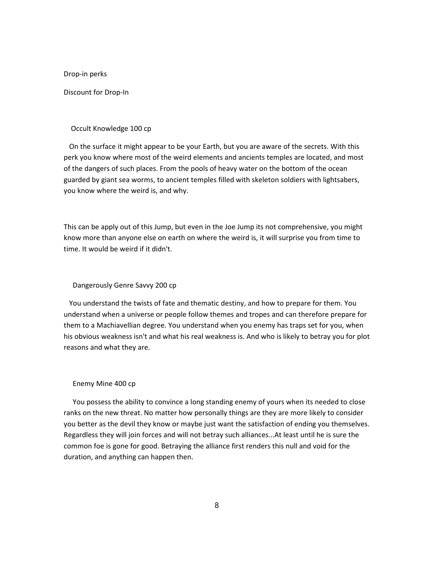Drop-in perks

Discount for Drop-In

# Occult Knowledge 100 cp

 On the surface it might appear to be your Earth, but you are aware of the secrets. With this perk you know where most of the weird elements and ancients temples are located, and most of the dangers of such places. From the pools of heavy water on the bottom of the ocean guarded by giant sea worms, to ancient temples filled with skeleton soldiers with lightsabers, you know where the weird is, and why.

This can be apply out of this Jump, but even in the Joe Jump its not comprehensive, you might know more than anyone else on earth on where the weird is, it will surprise you from time to time. It would be weird if it didn't.

#### Dangerously Genre Savvy 200 cp

 You understand the twists of fate and thematic destiny, and how to prepare for them. You understand when a universe or people follow themes and tropes and can therefore prepare for them to a Machiavellian degree. You understand when you enemy has traps set for you, when his obvious weakness isn't and what his real weakness is. And who is likely to betray you for plot reasons and what they are.

### Enemy Mine 400 cp

 You possess the ability to convince a long standing enemy of yours when its needed to close ranks on the new threat. No matter how personally things are they are more likely to consider you better as the devil they know or maybe just want the satisfaction of ending you themselves. Regardless they will join forces and will not betray such alliances...At least until he is sure the common foe is gone for good. Betraying the alliance first renders this null and void for the duration, and anything can happen then.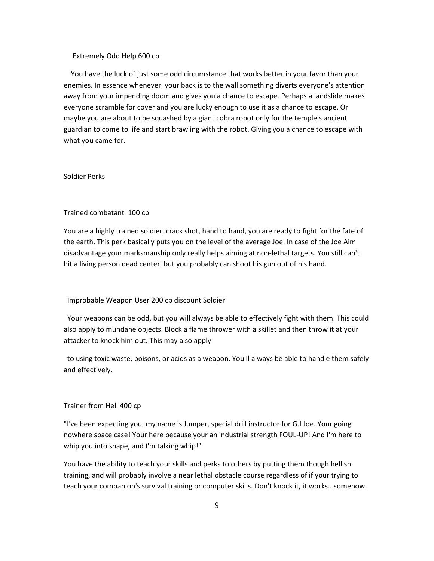### Extremely Odd Help 600 cp

 You have the luck of just some odd circumstance that works better in your favor than your enemies. In essence whenever your back is to the wall something diverts everyone's attention away from your impending doom and gives you a chance to escape. Perhaps a landslide makes everyone scramble for cover and you are lucky enough to use it as a chance to escape. Or maybe you are about to be squashed by a giant cobra robot only for the temple's ancient guardian to come to life and start brawling with the robot. Giving you a chance to escape with what you came for.

# Soldier Perks

## Trained combatant 100 cp

You are a highly trained soldier, crack shot, hand to hand, you are ready to fight for the fate of the earth. This perk basically puts you on the level of the average Joe. In case of the Joe Aim disadvantage your marksmanship only really helps aiming at non-lethal targets. You still can't hit a living person dead center, but you probably can shoot his gun out of his hand.

#### Improbable Weapon User 200 cp discount Soldier

 Your weapons can be odd, but you will always be able to effectively fight with them. This could also apply to mundane objects. Block a flame thrower with a skillet and then throw it at your attacker to knock him out. This may also apply

 to using toxic waste, poisons, or acids as a weapon. You'll always be able to handle them safely and effectively.

# Trainer from Hell 400 cp

"I've been expecting you, my name is Jumper, special drill instructor for G.I Joe. Your going nowhere space case! Your here because your an industrial strength FOUL-UP! And I'm here to whip you into shape, and I'm talking whip!"

You have the ability to teach your skills and perks to others by putting them though hellish training, and will probably involve a near lethal obstacle course regardless of if your trying to teach your companion's survival training or computer skills. Don't knock it, it works...somehow.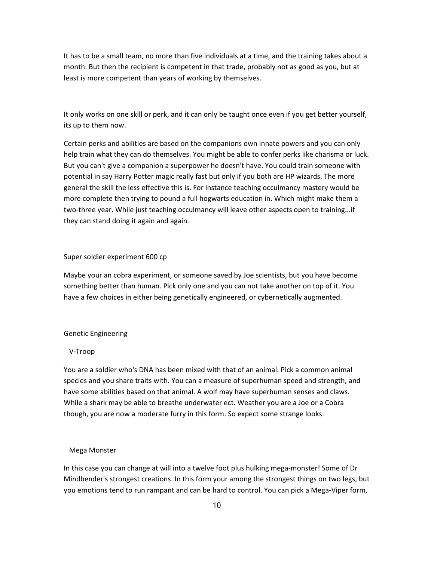It has to be a small team, no more than five individuals at a time, and the training takes about a month. But then the recipient is competent in that trade, probably not as good as you, but at least is more competent than years of working by themselves.

It only works on one skill or perk, and it can only be taught once even if you get better yourself, its up to them now.

Certain perks and abilities are based on the companions own innate powers and you can only help train what they can do themselves. You might be able to confer perks like charisma or luck. But you can't give a companion a superpower he doesn't have. You could train someone with potential in say Harry Potter magic really fast but only if you both are HP wizards. The more general the skill the less effective this is. For instance teaching occulmancy mastery would be more complete then trying to pound a full hogwarts education in. Which might make them a two-three year. While just teaching occulmancy will leave other aspects open to training...if they can stand doing it again and again.

# Super soldier experiment 600 cp

Maybe your an cobra experiment, or someone saved by Joe scientists, but you have become something better than human. Pick only one and you can not take another on top of it. You have a few choices in either being genetically engineered, or cybernetically augmented.

### Genetic Engineering

#### V-Troop

You are a soldier who's DNA has been mixed with that of an animal. Pick a common animal species and you share traits with. You can a measure of superhuman speed and strength, and have some abilities based on that animal. A wolf may have superhuman senses and claws. While a shark may be able to breathe underwater ect. Weather you are a Joe or a Cobra though, you are now a moderate furry in this form. So expect some strange looks.

#### Mega Monster

In this case you can change at will into a twelve foot plus hulking mega-monster! Some of Dr Mindbender's strongest creations. In this form your among the strongest things on two legs, but you emotions tend to run rampant and can be hard to control. You can pick a Mega-Viper form,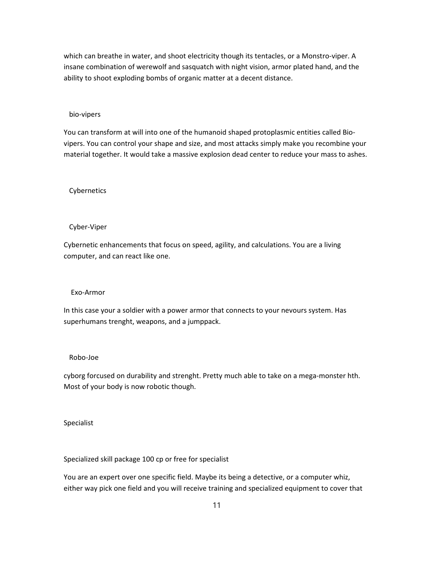which can breathe in water, and shoot electricity though its tentacles, or a Monstro-viper. A insane combination of werewolf and sasquatch with night vision, armor plated hand, and the ability to shoot exploding bombs of organic matter at a decent distance.

## bio-vipers

You can transform at will into one of the humanoid shaped protoplasmic entities called Biovipers. You can control your shape and size, and most attacks simply make you recombine your material together. It would take a massive explosion dead center to reduce your mass to ashes.

# Cybernetics

# Cyber-Viper

Cybernetic enhancements that focus on speed, agility, and calculations. You are a living computer, and can react like one.

## Exo-Armor

In this case your a soldier with a power armor that connects to your nevours system. Has superhumans trenght, weapons, and a jumppack.

## Robo-Joe

cyborg forcused on durability and strenght. Pretty much able to take on a mega-monster hth. Most of your body is now robotic though.

Specialist

Specialized skill package 100 cp or free for specialist

You are an expert over one specific field. Maybe its being a detective, or a computer whiz, either way pick one field and you will receive training and specialized equipment to cover that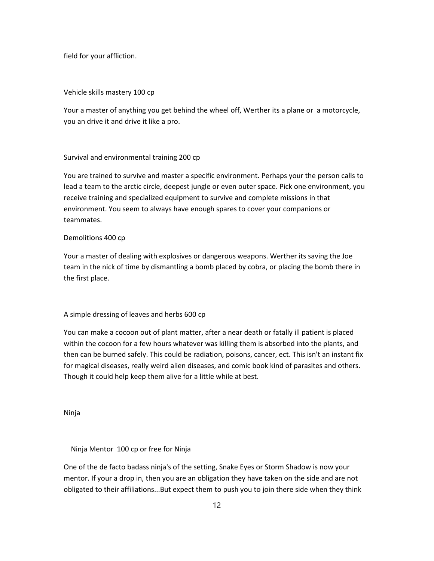field for your affliction.

Vehicle skills mastery 100 cp

Your a master of anything you get behind the wheel off, Werther its a plane or a motorcycle, you an drive it and drive it like a pro.

Survival and environmental training 200 cp

You are trained to survive and master a specific environment. Perhaps your the person calls to lead a team to the arctic circle, deepest jungle or even outer space. Pick one environment, you receive training and specialized equipment to survive and complete missions in that environment. You seem to always have enough spares to cover your companions or teammates.

Demolitions 400 cp

Your a master of dealing with explosives or dangerous weapons. Werther its saving the Joe team in the nick of time by dismantling a bomb placed by cobra, or placing the bomb there in the first place.

A simple dressing of leaves and herbs 600 cp

You can make a cocoon out of plant matter, after a near death or fatally ill patient is placed within the cocoon for a few hours whatever was killing them is absorbed into the plants, and then can be burned safely. This could be radiation, poisons, cancer, ect. This isn't an instant fix for magical diseases, really weird alien diseases, and comic book kind of parasites and others. Though it could help keep them alive for a little while at best.

Ninja

Ninja Mentor 100 cp or free for Ninja

One of the de facto badass ninja's of the setting, Snake Eyes or Storm Shadow is now your mentor. If your a drop in, then you are an obligation they have taken on the side and are not obligated to their affiliations...But expect them to push you to join there side when they think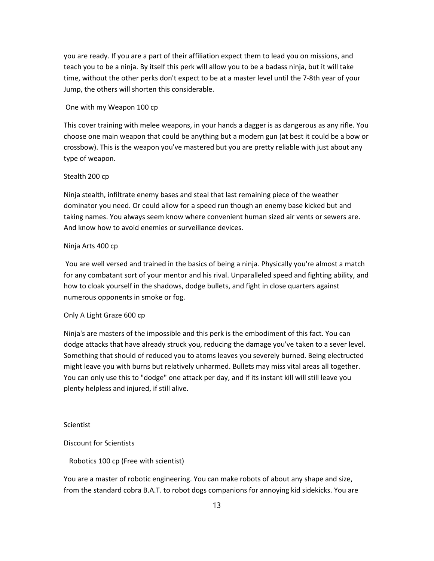you are ready. If you are a part of their affiliation expect them to lead you on missions, and teach you to be a ninja. By itself this perk will allow you to be a badass ninja, but it will take time, without the other perks don't expect to be at a master level until the 7-8th year of your Jump, the others will shorten this considerable.

## One with my Weapon 100 cp

This cover training with melee weapons, in your hands a dagger is as dangerous as any rifle. You choose one main weapon that could be anything but a modern gun (at best it could be a bow or crossbow). This is the weapon you've mastered but you are pretty reliable with just about any type of weapon.

# Stealth 200 cp

Ninja stealth, infiltrate enemy bases and steal that last remaining piece of the weather dominator you need. Or could allow for a speed run though an enemy base kicked but and taking names. You always seem know where convenient human sized air vents or sewers are. And know how to avoid enemies or surveillance devices.

### Ninja Arts 400 cp

You are well versed and trained in the basics of being a ninja. Physically you're almost a match for any combatant sort of your mentor and his rival. Unparalleled speed and fighting ability, and how to cloak yourself in the shadows, dodge bullets, and fight in close quarters against numerous opponents in smoke or fog.

# Only A Light Graze 600 cp

Ninja's are masters of the impossible and this perk is the embodiment of this fact. You can dodge attacks that have already struck you, reducing the damage you've taken to a sever level. Something that should of reduced you to atoms leaves you severely burned. Being electructed might leave you with burns but relatively unharmed. Bullets may miss vital areas all together. You can only use this to "dodge" one attack per day, and if its instant kill will still leave you plenty helpless and injured, if still alive.

# **Scientist**

# Discount for Scientists

Robotics 100 cp (Free with scientist)

You are a master of robotic engineering. You can make robots of about any shape and size, from the standard cobra B.A.T. to robot dogs companions for annoying kid sidekicks. You are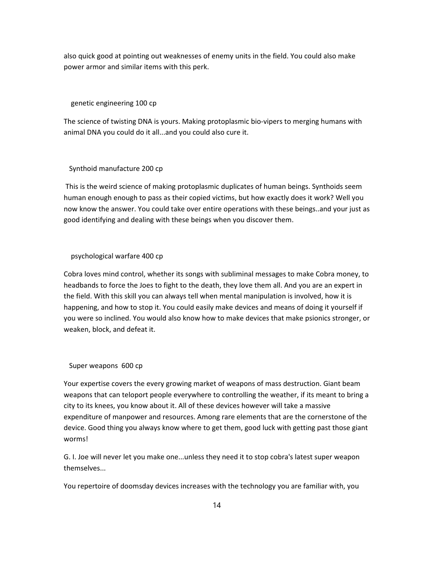also quick good at pointing out weaknesses of enemy units in the field. You could also make power armor and similar items with this perk.

### genetic engineering 100 cp

The science of twisting DNA is yours. Making protoplasmic bio-vipers to merging humans with animal DNA you could do it all...and you could also cure it.

# Synthoid manufacture 200 cp

This is the weird science of making protoplasmic duplicates of human beings. Synthoids seem human enough enough to pass as their copied victims, but how exactly does it work? Well you now know the answer. You could take over entire operations with these beings..and your just as good identifying and dealing with these beings when you discover them.

## psychological warfare 400 cp

Cobra loves mind control, whether its songs with subliminal messages to make Cobra money, to headbands to force the Joes to fight to the death, they love them all. And you are an expert in the field. With this skill you can always tell when mental manipulation is involved, how it is happening, and how to stop it. You could easily make devices and means of doing it yourself if you were so inclined. You would also know how to make devices that make psionics stronger, or weaken, block, and defeat it.

#### Super weapons 600 cp

Your expertise covers the every growing market of weapons of mass destruction. Giant beam weapons that can teloport people everywhere to controlling the weather, if its meant to bring a city to its knees, you know about it. All of these devices however will take a massive expenditure of manpower and resources. Among rare elements that are the cornerstone of the device. Good thing you always know where to get them, good luck with getting past those giant worms!

G. I. Joe will never let you make one...unless they need it to stop cobra's latest super weapon themselves...

You repertoire of doomsday devices increases with the technology you are familiar with, you